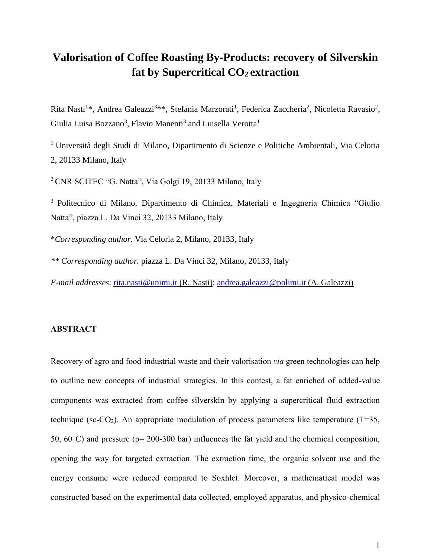# **Valorisation of Coffee Roasting By-Products: recovery of Silverskin fat by Supercritical CO2 extraction**

Rita Nasti<sup>1\*</sup>, Andrea Galeazzi<sup>3\*\*</sup>, Stefania Marzorati<sup>1</sup>, Federica Zaccheria<sup>2</sup>, Nicoletta Ravasio<sup>2</sup>, Giulia Luisa Bozzano<sup>3</sup>, Flavio Manenti<sup>3</sup> and Luisella Verotta<sup>1</sup>

<sup>1</sup>Università degli Studi di Milano, Dipartimento di Scienze e Politiche Ambientali, Via Celoria 2, 20133 Milano, Italy

<sup>2</sup> CNR SCITEC "G. Natta", Via Golgi 19, 20133 Milano, Italy

<sup>3</sup> Politecnico di Milano, Dipartimento di Chimica, Materiali e Ingegneria Chimica "Giulio" Natta", piazza L. Da Vinci 32, 20133 Milano, Italy

\**Corresponding author.* Via Celoria 2, Milano, 20133, Italy

*\*\* Corresponding author.* piazza L. Da Vinci 32, Milano, 20133, Italy

*E-mail addresses*: [rita.nasti@unimi.it](mailto:rita.nasti@unimi.it) (R. Nasti); [andrea.galeazzi@polimi.it](mailto:andrea.galeazzi@polimi.it) (A. Galeazzi)

# **ABSTRACT**

Recovery of agro and food-industrial waste and their valorisation *via* green technologies can help to outline new concepts of industrial strategies. In this contest, a fat enriched of added-value components was extracted from coffee silverskin by applying a supercritical fluid extraction technique (sc-CO<sub>2</sub>). An appropriate modulation of process parameters like temperature (T=35, 50,  $60^{\circ}$ C) and pressure (p= 200-300 bar) influences the fat yield and the chemical composition, opening the way for targeted extraction. The extraction time, the organic solvent use and the energy consume were reduced compared to Soxhlet. Moreover, a mathematical model was constructed based on the experimental data collected, employed apparatus, and physico-chemical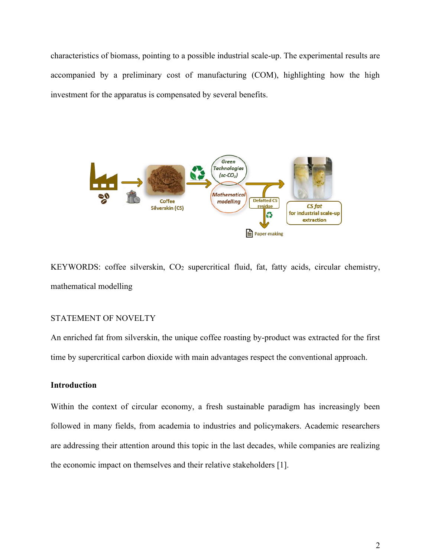characteristics of biomass, pointing to a possible industrial scale-up. The experimental results are accompanied by a preliminary cost of manufacturing (COM), highlighting how the high investment for the apparatus is compensated by several benefits.



KEYWORDS: coffee silverskin, CO<sub>2</sub> supercritical fluid, fat, fatty acids, circular chemistry, mathematical modelling

# STATEMENT OF NOVELTY

An enriched fat from silverskin, the unique coffee roasting by-product was extracted for the first time by supercritical carbon dioxide with main advantages respect the conventional approach.

# **Introduction**

Within the context of circular economy, a fresh sustainable paradigm has increasingly been followed in many fields, from academia to industries and policymakers. Academic researchers are addressing their attention around this topic in the last decades, while companies are realizing the economic impact on themselves and their relative stakeholders [1].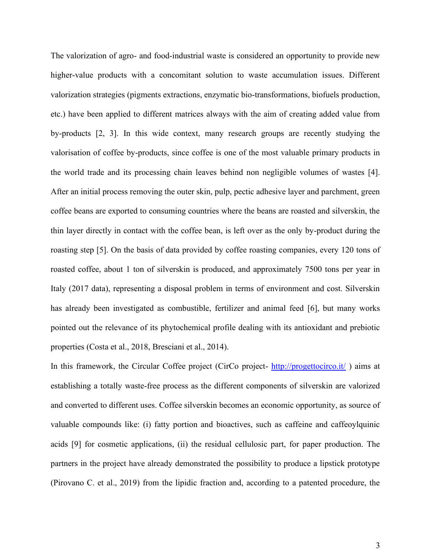The valorization of agro- and food-industrial waste is considered an opportunity to provide new higher-value products with a concomitant solution to waste accumulation issues. Different valorization strategies (pigments extractions, enzymatic bio-transformations, biofuels production, etc.) have been applied to different matrices always with the aim of creating added value from by-products [2, 3]. In this wide context, many research groups are recently studying the valorisation of coffee by-products, since coffee is one of the most valuable primary products in the world trade and its processing chain leaves behind non negligible volumes of wastes [4]. After an initial process removing the outer skin, pulp, pectic adhesive layer and parchment, green coffee beans are exported to consuming countries where the beans are roasted and silverskin, the thin layer directly in contact with the coffee bean, is left over as the only by-product during the roasting step [5]. On the basis of data provided by coffee roasting companies, every 120 tons of roasted coffee, about 1 ton of silverskin is produced, and approximately 7500 tons per year in Italy (2017 data), representing a disposal problem in terms of environment and cost. Silverskin has already been investigated as combustible, fertilizer and animal feed [6], but many works pointed out the relevance of its phytochemical profile dealing with its antioxidant and prebiotic properties (Costa et al., 2018, Bresciani et al., 2014).

In this framework, the Circular Coffee project (CirCo project- <http://progettocirco.it/>) aims at establishing a totally waste-free process as the different components of silverskin are valorized and converted to different uses. Coffee silverskin becomes an economic opportunity, as source of valuable compounds like: (i) fatty portion and bioactives, such as caffeine and caffeoylquinic acids [9] for cosmetic applications, (ii) the residual cellulosic part, for paper production. The partners in the project have already demonstrated the possibility to produce a lipstick prototype (Pirovano C. et al., 2019) from the lipidic fraction and, according to a patented procedure, the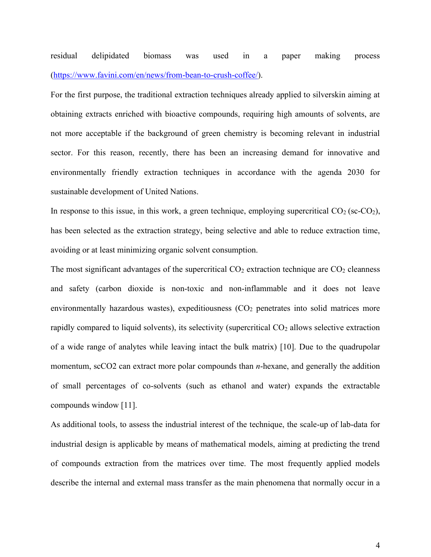residual delipidated biomass was used in a paper making process [\(https://www.favini.com/en/news/from-bean-to-crush-coffee/\)](https://www.favini.com/en/news/from-bean-to-crush-coffee/).

For the first purpose, the traditional extraction techniques already applied to silverskin aiming at obtaining extracts enriched with bioactive compounds, requiring high amounts of solvents, are not more acceptable if the background of green chemistry is becoming relevant in industrial sector. For this reason, recently, there has been an increasing demand for innovative and environmentally friendly extraction techniques in accordance with the agenda 2030 for sustainable development of United Nations.

In response to this issue, in this work, a green technique, employing supercritical  $CO<sub>2</sub>$  (sc- $CO<sub>2</sub>$ ), has been selected as the extraction strategy, being selective and able to reduce extraction time, avoiding or at least minimizing organic solvent consumption.

The most significant advantages of the supercritical  $CO<sub>2</sub>$  extraction technique are  $CO<sub>2</sub>$  cleanness and safety (carbon dioxide is non-toxic and non-inflammable and it does not leave environmentally hazardous wastes), expeditiousness (CO<sub>2</sub> penetrates into solid matrices more rapidly compared to liquid solvents), its selectivity (supercritical  $CO<sub>2</sub>$  allows selective extraction of a wide range of analytes while leaving intact the bulk matrix) [10]. Due to the quadrupolar momentum, scCO2 can extract more polar compounds than *n*-hexane, and generally the addition of small percentages of co-solvents (such as ethanol and water) expands the extractable compounds window [11].

As additional tools, to assess the industrial interest of the technique, the scale-up of lab-data for industrial design is applicable by means of mathematical models, aiming at predicting the trend of compounds extraction from the matrices over time. The most frequently applied models describe the internal and external mass transfer as the main phenomena that normally occur in a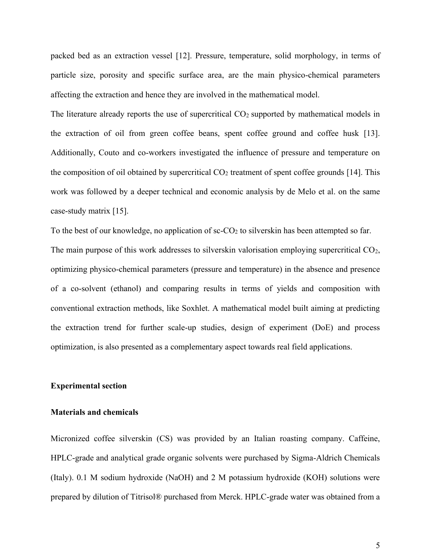packed bed as an extraction vessel [12]. Pressure, temperature, solid morphology, in terms of particle size, porosity and specific surface area, are the main physico-chemical parameters affecting the extraction and hence they are involved in the mathematical model.

The literature already reports the use of supercritical CO<sub>2</sub> supported by mathematical models in the extraction of oil from green coffee beans, spent coffee ground and coffee husk [13]. Additionally, Couto and co-workers investigated the influence of pressure and temperature on the composition of oil obtained by supercritical  $CO<sub>2</sub>$  treatment of spent coffee grounds [14]. This work was followed by a deeper technical and economic analysis by de Melo et al. on the same case-study matrix [15].

To the best of our knowledge, no application of  $\text{sc-CO}_2$  to silverskin has been attempted so far. The main purpose of this work addresses to silverskin valorisation employing supercritical CO<sub>2</sub>, optimizing physico-chemical parameters (pressure and temperature) in the absence and presence of a co-solvent (ethanol) and comparing results in terms of yields and composition with conventional extraction methods, like Soxhlet. A mathematical model built aiming at predicting the extraction trend for further scale-up studies, design of experiment (DoE) and process optimization, is also presented as a complementary aspect towards real field applications.

### **Experimental section**

### **Materials and chemicals**

Micronized coffee silverskin (CS) was provided by an Italian roasting company. Caffeine, HPLC-grade and analytical grade organic solvents were purchased by Sigma-Aldrich Chemicals (Italy). 0.1 M sodium hydroxide (NaOH) and 2 M potassium hydroxide (KOH) solutions were prepared by dilution of Titrisol® purchased from Merck. HPLC-grade water was obtained from a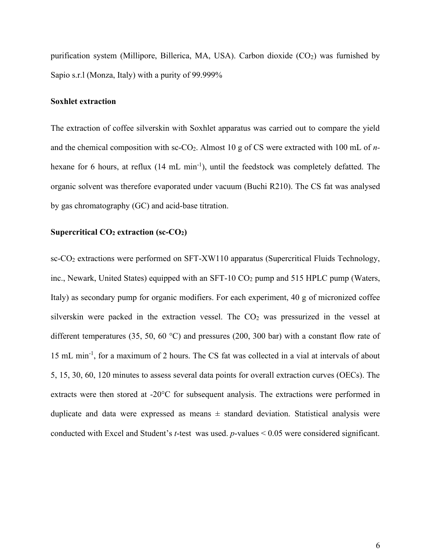purification system (Millipore, Billerica, MA, USA). Carbon dioxide  $(CO<sub>2</sub>)$  was furnished by Sapio s.r.l (Monza, Italy) with a purity of 99.999%

### **Soxhlet extraction**

The extraction of coffee silverskin with Soxhlet apparatus was carried out to compare the yield and the chemical composition with sc-CO2. Almost 10 g of CS were extracted with 100 mL of *n*hexane for 6 hours, at reflux (14 mL min<sup>-1</sup>), until the feedstock was completely defatted. The organic solvent was therefore evaporated under vacuum (Buchi R210). The CS fat was analysed by gas chromatography (GC) and acid-base titration.

# **Supercritical CO<sup>2</sup> extraction (sc-CO2)**

sc-CO<sub>2</sub> extractions were performed on SFT-XW110 apparatus (Supercritical Fluids Technology, inc., Newark, United States) equipped with an SFT-10  $CO<sub>2</sub>$  pump and 515 HPLC pump (Waters, Italy) as secondary pump for organic modifiers. For each experiment, 40 g of micronized coffee silverskin were packed in the extraction vessel. The  $CO<sub>2</sub>$  was pressurized in the vessel at different temperatures (35, 50, 60 °C) and pressures (200, 300 bar) with a constant flow rate of 15 mL min-1 , for a maximum of 2 hours. The CS fat was collected in a vial at intervals of about 5, 15, 30, 60, 120 minutes to assess several data points for overall extraction curves (OECs). The extracts were then stored at -20°C for subsequent analysis. The extractions were performed in duplicate and data were expressed as means  $\pm$  standard deviation. Statistical analysis were conducted with Excel and Student's *t*-test was used. *p*-values < 0.05 were considered significant.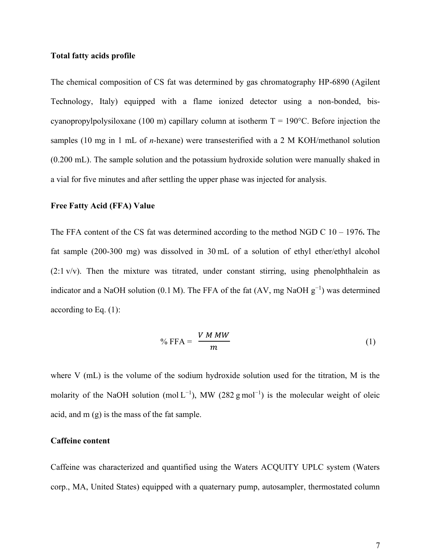### **Total fatty acids profile**

The chemical composition of CS fat was determined by gas chromatography HP-6890 (Agilent Technology, Italy) equipped with a flame ionized detector using a non-bonded, biscyanopropylpolysiloxane (100 m) capillary column at isotherm  $T = 190^{\circ}$ C. Before injection the samples (10 mg in 1 mL of *n-*hexane) were transesterified with a 2 M KOH/methanol solution (0.200 mL). The sample solution and the potassium hydroxide solution were manually shaked in a vial for five minutes and after settling the upper phase was injected for analysis.

### **Free Fatty Acid (FFA) Value**

The FFA content of the CS fat was determined according to the method NGD C 10 – 1976**.** The fat sample (200-300 mg) was dissolved in 30 mL of a solution of ethyl ether/ethyl alcohol  $(2.1 \text{ v/v})$ . Then the mixture was titrated, under constant stirring, using phenolphthalein as indicator and a NaOH solution (0.1 M). The FFA of the fat (AV, mg NaOH  $g^{-1}$ ) was determined according to Eq. (1):

$$
\% \text{ FFA} = \frac{V M M W}{m} \tag{1}
$$

where V (mL) is the volume of the sodium hydroxide solution used for the titration, M is the molarity of the NaOH solution (mol  $L^{-1}$ ), MW (282 g mol<sup>-1</sup>) is the molecular weight of oleic acid, and m (g) is the mass of the fat sample.

# **Caffeine content**

Caffeine was characterized and quantified using the Waters ACQUITY UPLC system (Waters corp., MA, United States) equipped with a quaternary pump, autosampler, thermostated column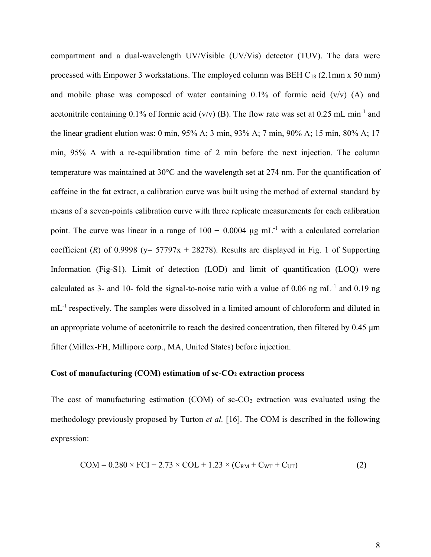compartment and a dual-wavelength UV/Visible (UV/Vis) detector (TUV). The data were processed with Empower 3 workstations. The employed column was BEH  $C_{18}$  (2.1mm x 50 mm) and mobile phase was composed of water containing  $0.1\%$  of formic acid  $(v/v)$  (A) and acetonitrile containing 0.1% of formic acid (v/v) (B). The flow rate was set at 0.25 mL min<sup>-1</sup> and the linear gradient elution was: 0 min, 95% A; 3 min, 93% A; 7 min, 90% A; 15 min, 80% A; 17 min, 95% A with a re-equilibration time of 2 min before the next injection. The column temperature was maintained at 30°C and the wavelength set at 274 nm. For the quantification of caffeine in the fat extract, a calibration curve was built using the method of external standard by means of a seven-points calibration curve with three replicate measurements for each calibration point. The curve was linear in a range of  $100 - 0.0004 \mu g \text{ mL}^{-1}$  with a calculated correlation coefficient (*R*) of 0.9998 ( $y = 57797x + 28278$ ). Results are displayed in Fig. 1 of Supporting Information (Fig-S1). Limit of detection (LOD) and limit of quantification (LOQ) were calculated as 3- and 10- fold the signal-to-noise ratio with a value of 0.06 ng mL<sup>-1</sup> and 0.19 ng mL<sup>-1</sup> respectively. The samples were dissolved in a limited amount of chloroform and diluted in an appropriate volume of acetonitrile to reach the desired concentration, then filtered by 0.45 μm filter (Millex-FH, Millipore corp., MA, United States) before injection.

# **Cost of manufacturing (COM) estimation of sc-CO<sup>2</sup> extraction process**

The cost of manufacturing estimation (COM) of  $sc\text{-}CO_2$  extraction was evaluated using the methodology previously proposed by Turton *et al.* [16]. The COM is described in the following expression:

$$
COM = 0.280 \times FCI + 2.73 \times COL + 1.23 \times (C_{RM} + C_{WT} + C_{UT})
$$
\n(2)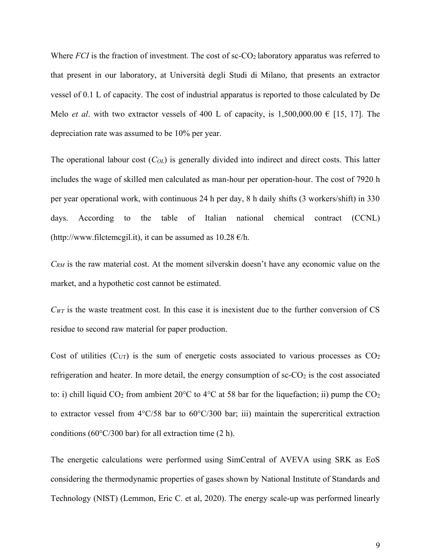Where  $FCI$  is the fraction of investment. The cost of  $\text{sc-CO}_2$  laboratory apparatus was referred to that present in our laboratory, at Università degli Studi di Milano, that presents an extractor vessel of 0.1 L of capacity. The cost of industrial apparatus is reported to those calculated by De Melo *et al.* with two extractor vessels of 400 L of capacity, is 1,500,000.00  $\epsilon$  [15, 17]. The depreciation rate was assumed to be 10% per year.

The operational labour cost (*COL*) is generally divided into indirect and direct costs. This latter includes the wage of skilled men calculated as man-hour per operation-hour. The cost of 7920 h per year operational work, with continuous 24 h per day, 8 h daily shifts (3 workers/shift) in 330 days. According to the table of Italian national chemical contract (CCNL) (http://www.filctemcgil.it), it can be assumed as  $10.28 \text{ } \epsilon/\text{h}$ .

*CRM* is the raw material cost. At the moment silverskin doesn't have any economic value on the market, and a hypothetic cost cannot be estimated.

 $C_{WT}$  is the waste treatment cost. In this case it is inexistent due to the further conversion of CS residue to second raw material for paper production.

Cost of utilities  $(C<sub>UT</sub>)$  is the sum of energetic costs associated to various processes as  $CO<sub>2</sub>$ refrigeration and heater. In more detail, the energy consumption of  $\text{sc-CO}_2$  is the cost associated to: i) chill liquid  $CO_2$  from ambient 20 $\degree$ C to 4 $\degree$ C at 58 bar for the liquefaction; ii) pump the  $CO_2$ to extractor vessel from 4°C/58 bar to 60°C/300 bar; iii) maintain the supercritical extraction conditions (60 $\degree$ C/300 bar) for all extraction time (2 h).

The energetic calculations were performed using SimCentral of AVEVA using SRK as EoS considering the thermodynamic properties of gases shown by National Institute of Standards and Technology (NIST) (Lemmon, Eric C. et al, 2020). The energy scale-up was performed linearly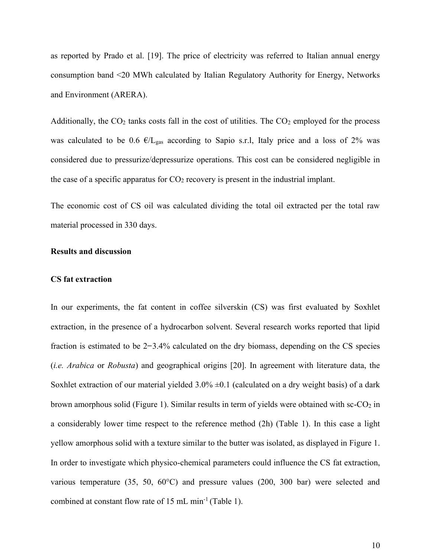as reported by Prado et al. [19]. The price of electricity was referred to Italian annual energy consumption band <20 MWh calculated by Italian Regulatory Authority for Energy, Networks and Environment (ARERA).

Additionally, the  $CO<sub>2</sub>$  tanks costs fall in the cost of utilities. The  $CO<sub>2</sub>$  employed for the process was calculated to be 0.6  $\epsilon/L_{\text{gas}}$  according to Sapio s.r.l, Italy price and a loss of 2% was considered due to pressurize/depressurize operations. This cost can be considered negligible in the case of a specific apparatus for  $CO<sub>2</sub>$  recovery is present in the industrial implant.

The economic cost of CS oil was calculated dividing the total oil extracted per the total raw material processed in 330 days.

# **Results and discussion**

#### **CS fat extraction**

In our experiments, the fat content in coffee silverskin (CS) was first evaluated by Soxhlet extraction, in the presence of a hydrocarbon solvent. Several research works reported that lipid fraction is estimated to be  $2-3.4\%$  calculated on the dry biomass, depending on the CS species (*i.e. Arabica* or *Robusta*) and geographical origins [20]. In agreement with literature data, the Soxhlet extraction of our material yielded  $3.0\% \pm 0.1$  (calculated on a dry weight basis) of a dark brown amorphous solid (Figure 1). Similar results in term of yields were obtained with  $\text{sc-CO}_2$  in a considerably lower time respect to the reference method (2h) (Table 1). In this case a light yellow amorphous solid with a texture similar to the butter was isolated, as displayed in Figure 1. In order to investigate which physico-chemical parameters could influence the CS fat extraction, various temperature (35, 50, 60°C) and pressure values (200, 300 bar) were selected and combined at constant flow rate of  $15 \text{ mL min}^{-1}$  (Table 1).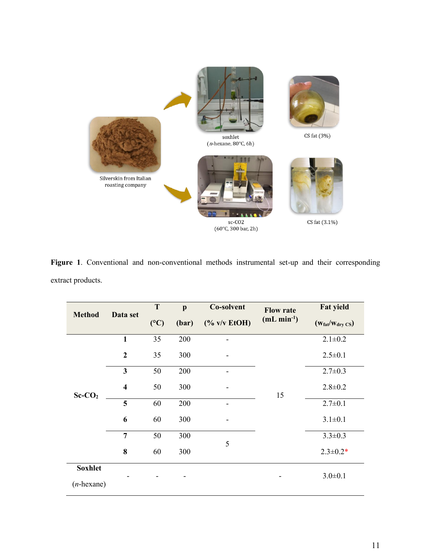

**Figure 1**. Conventional and non-conventional methods instrumental set-up and their corresponding extract products.

|                                 | Data set                | T   | $\mathbf{p}$ | Co-solvent                    | <b>Flow rate</b> | <b>Fat yield</b>                     |  |
|---------------------------------|-------------------------|-----|--------------|-------------------------------|------------------|--------------------------------------|--|
| <b>Method</b>                   |                         | (C) | (bar)        | $(% \mathbf{A})$ (% v/v EtOH) | $(mL min-1)$     | $(w_{\text{fat}}/w_{\text{dry CS}})$ |  |
|                                 | $\mathbf{1}$            | 35  | 200          |                               |                  | $2.1 \pm 0.2$                        |  |
|                                 | $\overline{2}$          | 35  | 300          |                               |                  | $2.5 \pm 0.1$                        |  |
|                                 | $\overline{\mathbf{3}}$ | 50  | 200          |                               |                  | $2.7 \pm 0.3$                        |  |
| $Sc-CO2$                        | $\overline{\mathbf{4}}$ | 50  | 300          |                               | 15               | $2.8 \pm 0.2$                        |  |
|                                 | 5                       | 60  | 200          |                               |                  | $2.7 \pm 0.1$                        |  |
|                                 | 6                       | 60  | 300          |                               |                  | $3.1 \pm 0.1$                        |  |
|                                 | $\overline{7}$          | 50  | 300          | 5                             |                  | $3.3 \pm 0.3$                        |  |
|                                 | 8                       | 60  | 300          |                               |                  | $2.3 \pm 0.2*$                       |  |
| <b>Soxhlet</b><br>$(n$ -hexane) |                         |     |              |                               |                  | $3.0 \pm 0.1$                        |  |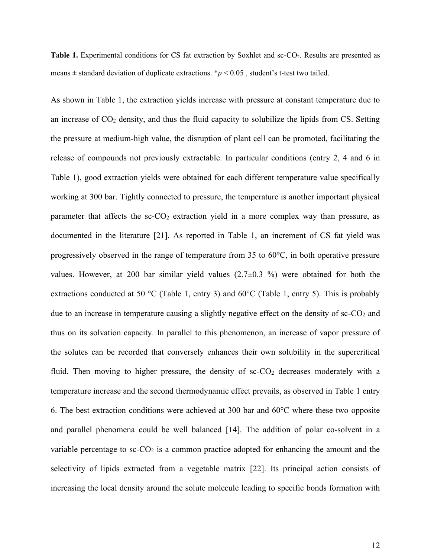**Table 1.** Experimental conditions for CS fat extraction by Soxhlet and sc-CO<sub>2</sub>. Results are presented as means  $\pm$  standard deviation of duplicate extractions. \* $p$  < 0.05, student's t-test two tailed.

As shown in Table 1, the extraction yields increase with pressure at constant temperature due to an increase of  $CO<sub>2</sub>$  density, and thus the fluid capacity to solubilize the lipids from CS. Setting the pressure at medium-high value, the disruption of plant cell can be promoted, facilitating the release of compounds not previously extractable. In particular conditions (entry 2, 4 and 6 in Table 1), good extraction yields were obtained for each different temperature value specifically working at 300 bar. Tightly connected to pressure, the temperature is another important physical parameter that affects the  $sc-CO<sub>2</sub>$  extraction yield in a more complex way than pressure, as documented in the literature [21]. As reported in Table 1, an increment of CS fat yield was progressively observed in the range of temperature from 35 to 60°C, in both operative pressure values. However, at 200 bar similar yield values  $(2.7\pm0.3\%)$  were obtained for both the extractions conducted at 50 °C (Table 1, entry 3) and 60 °C (Table 1, entry 5). This is probably due to an increase in temperature causing a slightly negative effect on the density of  $\text{sc-CO}_2$  and thus on its solvation capacity. In parallel to this phenomenon, an increase of vapor pressure of the solutes can be recorded that conversely enhances their own solubility in the supercritical fluid. Then moving to higher pressure, the density of  $\text{sc-CO}_2$  decreases moderately with a temperature increase and the second thermodynamic effect prevails, as observed in Table 1 entry 6. The best extraction conditions were achieved at 300 bar and 60°C where these two opposite and parallel phenomena could be well balanced [14]. The addition of polar co-solvent in a variable percentage to  $\rm{sc}\text{-}CO_{2}$  is a common practice adopted for enhancing the amount and the selectivity of lipids extracted from a vegetable matrix [22]. Its principal action consists of increasing the local density around the solute molecule leading to specific bonds formation with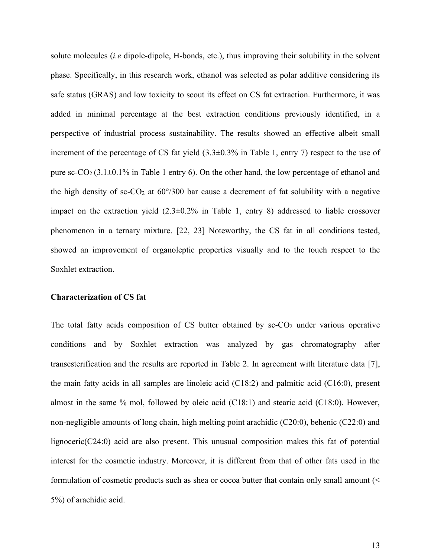solute molecules (*i.e* dipole-dipole, H-bonds, etc.), thus improving their solubility in the solvent phase. Specifically, in this research work, ethanol was selected as polar additive considering its safe status (GRAS) and low toxicity to scout its effect on CS fat extraction. Furthermore, it was added in minimal percentage at the best extraction conditions previously identified, in a perspective of industrial process sustainability. The results showed an effective albeit small increment of the percentage of CS fat yield (3.3±0.3% in Table 1, entry 7) respect to the use of pure sc-CO<sub>2</sub> (3.1 $\pm$ 0.1% in Table 1 entry 6). On the other hand, the low percentage of ethanol and the high density of sc-CO<sub>2</sub> at  $60^{\circ}/300$  bar cause a decrement of fat solubility with a negative impact on the extraction yield  $(2.3\pm0.2\%$  in Table 1, entry 8) addressed to liable crossover phenomenon in a ternary mixture. [22, 23] Noteworthy, the CS fat in all conditions tested, showed an improvement of organoleptic properties visually and to the touch respect to the Soxhlet extraction.

### **Characterization of CS fat**

The total fatty acids composition of CS butter obtained by  $sc$ - $CO<sub>2</sub>$  under various operative conditions and by Soxhlet extraction was analyzed by gas chromatography after transesterification and the results are reported in Table 2. In agreement with literature data [7], the main fatty acids in all samples are linoleic acid (C18:2) and palmitic acid (C16:0), present almost in the same % mol, followed by oleic acid (C18:1) and stearic acid (C18:0). However, non-negligible amounts of long chain, high melting point arachidic (C20:0), behenic (C22:0) and lignoceric(C24:0) acid are also present. This unusual composition makes this fat of potential interest for the cosmetic industry. Moreover, it is different from that of other fats used in the formulation of cosmetic products such as shea or cocoa butter that contain only small amount (< 5%) of arachidic acid.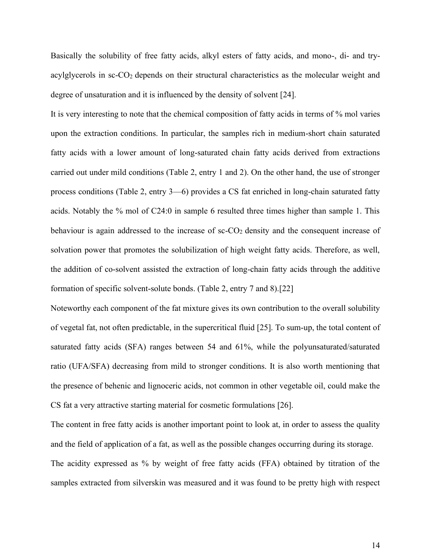Basically the solubility of free fatty acids, alkyl esters of fatty acids, and mono-, di- and tryacylglycerols in sc-CO<sub>2</sub> depends on their structural characteristics as the molecular weight and degree of unsaturation and it is influenced by the density of solvent [24].

It is very interesting to note that the chemical composition of fatty acids in terms of % mol varies upon the extraction conditions. In particular, the samples rich in medium-short chain saturated fatty acids with a lower amount of long-saturated chain fatty acids derived from extractions carried out under mild conditions (Table 2, entry 1 and 2). On the other hand, the use of stronger process conditions (Table 2, entry 3—6) provides a CS fat enriched in long-chain saturated fatty acids. Notably the % mol of C24:0 in sample 6 resulted three times higher than sample 1. This behaviour is again addressed to the increase of sc-CO<sub>2</sub> density and the consequent increase of solvation power that promotes the solubilization of high weight fatty acids. Therefore, as well, the addition of co-solvent assisted the extraction of long-chain fatty acids through the additive formation of specific solvent-solute bonds. (Table 2, entry 7 and 8).[22]

Noteworthy each component of the fat mixture gives its own contribution to the overall solubility of vegetal fat, not often predictable, in the supercritical fluid [25]. To sum-up, the total content of saturated fatty acids (SFA) ranges between 54 and 61%, while the polyunsaturated/saturated ratio (UFA/SFA) decreasing from mild to stronger conditions. It is also worth mentioning that the presence of behenic and lignoceric acids, not common in other vegetable oil, could make the CS fat a very attractive starting material for cosmetic formulations [26].

The content in free fatty acids is another important point to look at, in order to assess the quality and the field of application of a fat, as well as the possible changes occurring during its storage. The acidity expressed as % by weight of free fatty acids (FFA) obtained by titration of the samples extracted from silverskin was measured and it was found to be pretty high with respect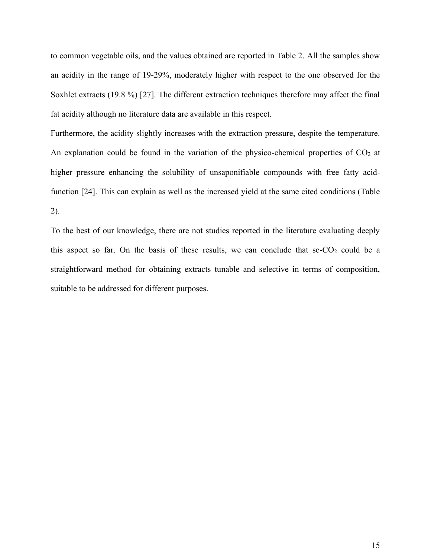to common vegetable oils, and the values obtained are reported in Table 2. All the samples show an acidity in the range of 19-29%, moderately higher with respect to the one observed for the Soxhlet extracts (19.8 %) [27]. The different extraction techniques therefore may affect the final fat acidity although no literature data are available in this respect.

Furthermore, the acidity slightly increases with the extraction pressure, despite the temperature. An explanation could be found in the variation of the physico-chemical properties of  $CO<sub>2</sub>$  at higher pressure enhancing the solubility of unsaponifiable compounds with free fatty acidfunction [24]. This can explain as well as the increased yield at the same cited conditions (Table 2).

To the best of our knowledge, there are not studies reported in the literature evaluating deeply this aspect so far. On the basis of these results, we can conclude that  $sc$ - $CO<sub>2</sub>$  could be a straightforward method for obtaining extracts tunable and selective in terms of composition, suitable to be addressed for different purposes.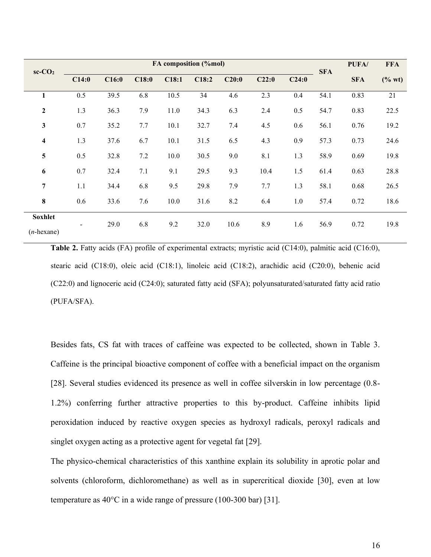| $sc$ - $CO2$                    | FA composition (%mol) |       |       |       |       |       |       |       |            | PUFA/      | <b>FFA</b> |
|---------------------------------|-----------------------|-------|-------|-------|-------|-------|-------|-------|------------|------------|------------|
|                                 | C14:0                 | C16:0 | C18:0 | C18:1 | C18:2 | C20:0 | C22:0 | C24:0 | <b>SFA</b> | <b>SFA</b> | $(\%$ wt)  |
| 1                               | 0.5                   | 39.5  | 6.8   | 10.5  | 34    | 4.6   | 2.3   | 0.4   | 54.1       | 0.83       | 21         |
| $\boldsymbol{2}$                | 1.3                   | 36.3  | 7.9   | 11.0  | 34.3  | 6.3   | 2.4   | 0.5   | 54.7       | 0.83       | 22.5       |
| 3                               | 0.7                   | 35.2  | 7.7   | 10.1  | 32.7  | 7.4   | 4.5   | 0.6   | 56.1       | 0.76       | 19.2       |
| 4                               | 1.3                   | 37.6  | 6.7   | 10.1  | 31.5  | 6.5   | 4.3   | 0.9   | 57.3       | 0.73       | 24.6       |
| 5                               | 0.5                   | 32.8  | 7.2   | 10.0  | 30.5  | 9.0   | 8.1   | 1.3   | 58.9       | 0.69       | 19.8       |
| 6                               | 0.7                   | 32.4  | 7.1   | 9.1   | 29.5  | 9.3   | 10.4  | 1.5   | 61.4       | 0.63       | 28.8       |
| $\overline{7}$                  | 1.1                   | 34.4  | 6.8   | 9.5   | 29.8  | 7.9   | 7.7   | 1.3   | 58.1       | 0.68       | 26.5       |
| 8                               | 0.6                   | 33.6  | 7.6   | 10.0  | 31.6  | 8.2   | 6.4   | 1.0   | 57.4       | 0.72       | 18.6       |
| <b>Soxhlet</b><br>$(n$ -hexane) |                       | 29.0  | 6.8   | 9.2   | 32.0  | 10.6  | 8.9   | 1.6   | 56.9       | 0.72       | 19.8       |

**Table 2.** Fatty acids (FA) profile of experimental extracts; myristic acid (C14:0), palmitic acid (C16:0), stearic acid (C18:0), oleic acid (C18:1), linoleic acid (C18:2), arachidic acid (C20:0), behenic acid (C22:0) and lignoceric acid (C24:0); saturated fatty acid (SFA); polyunsaturated/saturated fatty acid ratio (PUFA/SFA).

Besides fats, CS fat with traces of caffeine was expected to be collected, shown in Table 3. Caffeine is the principal bioactive component of coffee with a beneficial impact on the organism [28]. Several studies evidenced its presence as well in coffee silverskin in low percentage (0.8- 1.2%) conferring further attractive properties to this by-product. Caffeine inhibits lipid peroxidation induced by reactive oxygen species as hydroxyl radicals, peroxyl radicals and singlet oxygen acting as a protective agent for vegetal fat [29].

The physico-chemical characteristics of this xanthine explain its solubility in aprotic polar and solvents (chloroform, dichloromethane) as well as in supercritical dioxide [30], even at low temperature as 40°C in a wide range of pressure (100-300 bar) [31].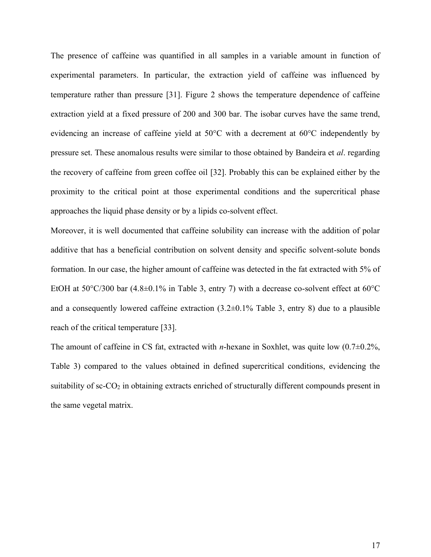The presence of caffeine was quantified in all samples in a variable amount in function of experimental parameters. In particular, the extraction yield of caffeine was influenced by temperature rather than pressure [31]. Figure 2 shows the temperature dependence of caffeine extraction yield at a fixed pressure of 200 and 300 bar. The isobar curves have the same trend, evidencing an increase of caffeine yield at 50°C with a decrement at 60°C independently by pressure set. These anomalous results were similar to those obtained by Bandeira et *al*. regarding the recovery of caffeine from green coffee oil [32]. Probably this can be explained either by the proximity to the critical point at those experimental conditions and the supercritical phase approaches the liquid phase density or by a lipids co-solvent effect.

Moreover, it is well documented that caffeine solubility can increase with the addition of polar additive that has a beneficial contribution on solvent density and specific solvent-solute bonds formation. In our case, the higher amount of caffeine was detected in the fat extracted with 5% of EtOH at  $50^{\circ}$ C/300 bar  $(4.8\pm0.1\%$  in Table 3, entry 7) with a decrease co-solvent effect at  $60^{\circ}$ C and a consequently lowered caffeine extraction  $(3.2\pm0.1\%$  Table 3, entry 8) due to a plausible reach of the critical temperature [33].

The amount of caffeine in CS fat, extracted with *n*-hexane in Soxhlet, was quite low (0.7±0.2%, Table 3) compared to the values obtained in defined supercritical conditions, evidencing the suitability of sc-CO<sub>2</sub> in obtaining extracts enriched of structurally different compounds present in the same vegetal matrix.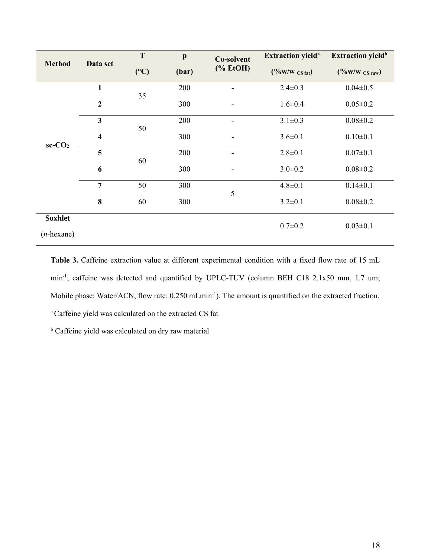| <b>Method</b>                   | Data set                | T   | $\mathbf{p}$ | Co-solvent                                                                                                                                                                                                                                                                                                                                                                                                                                                                                                   | <b>Extraction yield<sup>a</sup></b> | <b>Extraction yield</b> <sup>b</sup> |  |
|---------------------------------|-------------------------|-----|--------------|--------------------------------------------------------------------------------------------------------------------------------------------------------------------------------------------------------------------------------------------------------------------------------------------------------------------------------------------------------------------------------------------------------------------------------------------------------------------------------------------------------------|-------------------------------------|--------------------------------------|--|
|                                 |                         | (C) | (bar)        | $(% \mathbf{C}^{\prime }\mathbf{C}^{\prime }\mathbf{C}^{\prime }\mathbf{C}^{\prime }\mathbf{C}^{\prime }\mathbf{C}^{\prime }\mathbf{C}^{\prime }\mathbf{C}^{\prime }\mathbf{C}^{\prime }\mathbf{C}^{\prime }\mathbf{C}^{\prime }\mathbf{C}^{\prime }\mathbf{C}^{\prime }\mathbf{C}^{\prime }\mathbf{C}^{\prime }\mathbf{C}^{\prime }\mathbf{C}^{\prime }\mathbf{C}^{\prime }\mathbf{C}^{\prime }\mathbf{C}^{\prime }\mathbf{C}^{\prime }\mathbf{C}^{\prime }\mathbf{C}^{\prime }\mathbf{C}^{\prime }\mathbf$ | $(^{0}/_{0}W/W \text{CS fat})$      | $(^{0}/_{0}W/W \text{CS raw})$       |  |
| $sc$ - $CO2$                    | 1                       |     | 200          |                                                                                                                                                                                                                                                                                                                                                                                                                                                                                                              | $2.4 \pm 0.3$                       | $0.04 \pm 0.5$                       |  |
|                                 | $\boldsymbol{2}$        | 35  | 300          |                                                                                                                                                                                                                                                                                                                                                                                                                                                                                                              | $1.6 \pm 0.4$                       | $0.05 \pm 0.2$                       |  |
|                                 | 3                       |     | 200          |                                                                                                                                                                                                                                                                                                                                                                                                                                                                                                              | $3.1 \pm 0.3$                       | $0.08 \pm 0.2$                       |  |
|                                 | $\overline{\mathbf{4}}$ | 50  | 300          | $\overline{a}$                                                                                                                                                                                                                                                                                                                                                                                                                                                                                               | $3.6 \pm 0.1$                       | $0.10 \pm 0.1$                       |  |
|                                 | 5                       |     | 200          | -                                                                                                                                                                                                                                                                                                                                                                                                                                                                                                            | $2.8 \pm 0.1$                       | $0.07 \pm 0.1$                       |  |
|                                 | 6                       | 60  | 300          |                                                                                                                                                                                                                                                                                                                                                                                                                                                                                                              | $3.0 \pm 0.2$                       | $0.08 \pm 0.2$                       |  |
|                                 | $\overline{7}$          | 50  | 300          | 5                                                                                                                                                                                                                                                                                                                                                                                                                                                                                                            | $4.8 \pm 0.1$                       | $0.14 \pm 0.1$                       |  |
|                                 | 8                       | 60  | 300          |                                                                                                                                                                                                                                                                                                                                                                                                                                                                                                              | $3.2 \pm 0.1$                       | $0.08 \pm 0.2$                       |  |
| <b>Soxhlet</b><br>$(n$ -hexane) |                         |     |              |                                                                                                                                                                                                                                                                                                                                                                                                                                                                                                              | $0.7 \pm 0.2$                       | $0.03 \pm 0.1$                       |  |

**Table 3.** Caffeine extraction value at different experimental condition with a fixed flow rate of 15 mL min<sup>-1</sup>; caffeine was detected and quantified by UPLC-TUV (column BEH C18 2.1x50 mm, 1.7 um; Mobile phase: Water/ACN, flow rate: 0.250 mLmin<sup>-1</sup>). The amount is quantified on the extracted fraction. <sup>a</sup> Caffeine yield was calculated on the extracted CS fat

**b** Caffeine yield was calculated on dry raw material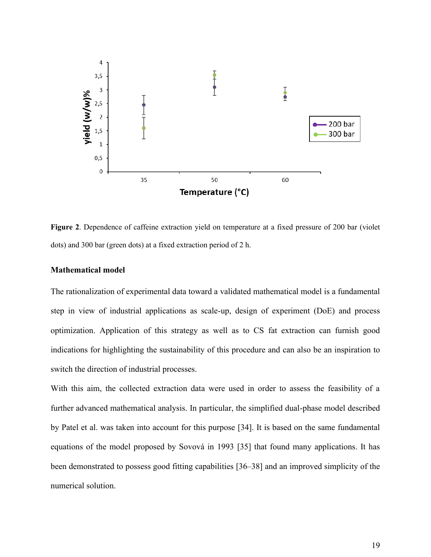

**Figure 2**. Dependence of caffeine extraction yield on temperature at a fixed pressure of 200 bar (violet dots) and 300 bar (green dots) at a fixed extraction period of 2 h.

### **Mathematical model**

The rationalization of experimental data toward a validated mathematical model is a fundamental step in view of industrial applications as scale-up, design of experiment (DoE) and process optimization. Application of this strategy as well as to CS fat extraction can furnish good indications for highlighting the sustainability of this procedure and can also be an inspiration to switch the direction of industrial processes.

With this aim, the collected extraction data were used in order to assess the feasibility of a further advanced mathematical analysis. In particular, the simplified dual-phase model described by Patel et al. was taken into account for this purpose [34]. It is based on the same fundamental equations of the model proposed by Sovová in 1993 [35] that found many applications. It has been demonstrated to possess good fitting capabilities [36–38] and an improved simplicity of the numerical solution.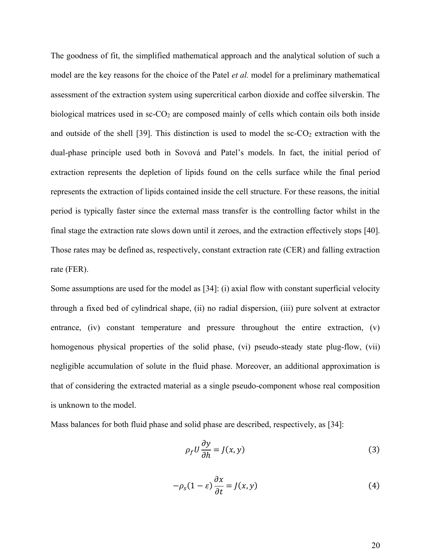The goodness of fit, the simplified mathematical approach and the analytical solution of such a model are the key reasons for the choice of the Patel *et al.* model for a preliminary mathematical assessment of the extraction system using supercritical carbon dioxide and coffee silverskin. The biological matrices used in sc-CO<sub>2</sub> are composed mainly of cells which contain oils both inside and outside of the shell [39]. This distinction is used to model the  $\rm{sc-CO_2}$  extraction with the dual-phase principle used both in Sovová and Patel's models. In fact, the initial period of extraction represents the depletion of lipids found on the cells surface while the final period represents the extraction of lipids contained inside the cell structure. For these reasons, the initial period is typically faster since the external mass transfer is the controlling factor whilst in the final stage the extraction rate slows down until it zeroes, and the extraction effectively stops [40]. Those rates may be defined as, respectively, constant extraction rate (CER) and falling extraction rate (FER).

Some assumptions are used for the model as [34]: (i) axial flow with constant superficial velocity through a fixed bed of cylindrical shape, (ii) no radial dispersion, (iii) pure solvent at extractor entrance,  $(iv)$  constant temperature and pressure throughout the entire extraction,  $(v)$ homogenous physical properties of the solid phase, (vi) pseudo-steady state plug-flow, (vii) negligible accumulation of solute in the fluid phase. Moreover, an additional approximation is that of considering the extracted material as a single pseudo-component whose real composition is unknown to the model.

Mass balances for both fluid phase and solid phase are described, respectively, as [34]:

$$
\rho_f U \frac{\partial y}{\partial h} = J(x, y) \tag{3}
$$

$$
-\rho_s(1-\varepsilon)\frac{\partial x}{\partial t} = J(x,y) \tag{4}
$$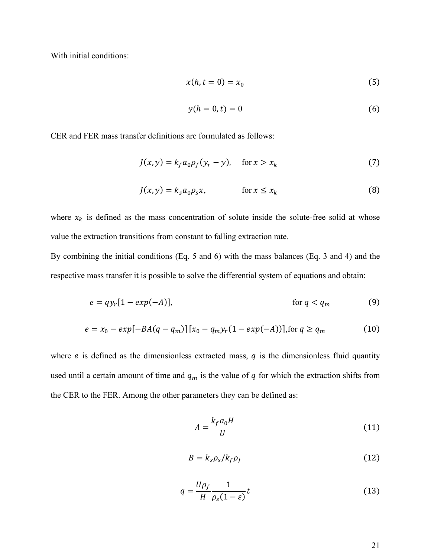With initial conditions:

$$
x(h, t = 0) = x_0 \tag{5}
$$

$$
y(h=0,t)=0
$$
 (6)

CER and FER mass transfer definitions are formulated as follows:

$$
J(x, y) = k_f a_0 \rho_f (y_r - y), \quad \text{for } x > x_k
$$
 (7)

$$
J(x, y) = k_s a_0 \rho_s x, \qquad \text{for } x \le x_k
$$
 (8)

where  $x_k$  is defined as the mass concentration of solute inside the solute-free solid at whose value the extraction transitions from constant to falling extraction rate.

By combining the initial conditions (Eq. 5 and 6) with the mass balances (Eq. 3 and 4) and the respective mass transfer it is possible to solve the differential system of equations and obtain:

$$
e = qy_r[1 - exp(-A)], \qquad \text{for } q < q_m \tag{9}
$$

$$
e = x_0 - exp[-BA(q - q_m)][x_0 - q_m y_r(1 - exp(-A))], \text{for } q \ge q_m
$$
 (10)

where  $e$  is defined as the dimensionless extracted mass,  $q$  is the dimensionless fluid quantity used until a certain amount of time and  $q_m$  is the value of  $q$  for which the extraction shifts from the CER to the FER. Among the other parameters they can be defined as:

$$
A = \frac{k_f a_0 H}{U} \tag{11}
$$

$$
B = k_s \rho_s / k_f \rho_f \tag{12}
$$

$$
q = \frac{U\rho_f}{H} \frac{1}{\rho_s (1 - \varepsilon)} t \tag{13}
$$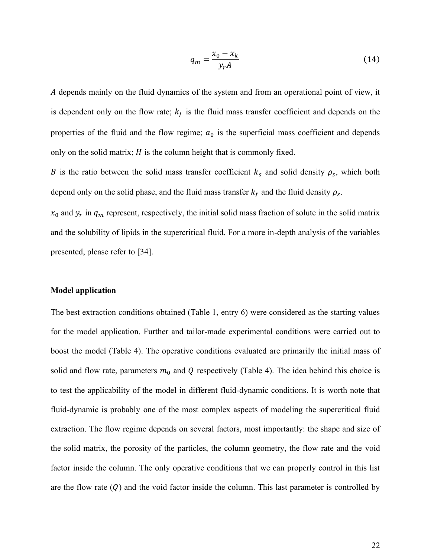$$
q_m = \frac{x_0 - x_k}{y_r A} \tag{14}
$$

 depends mainly on the fluid dynamics of the system and from an operational point of view, it is dependent only on the flow rate;  $k_f$  is the fluid mass transfer coefficient and depends on the properties of the fluid and the flow regime;  $a_0$  is the superficial mass coefficient and depends only on the solid matrix;  $H$  is the column height that is commonly fixed.

B is the ratio between the solid mass transfer coefficient  $k_s$  and solid density  $\rho_s$ , which both depend only on the solid phase, and the fluid mass transfer  $k_f$  and the fluid density  $\rho_s$ .

 $x_0$  and  $y_r$  in  $q_m$  represent, respectively, the initial solid mass fraction of solute in the solid matrix and the solubility of lipids in the supercritical fluid. For a more in-depth analysis of the variables presented, please refer to [34].

### **Model application**

The best extraction conditions obtained (Table 1, entry 6) were considered as the starting values for the model application. Further and tailor-made experimental conditions were carried out to boost the model (Table 4). The operative conditions evaluated are primarily the initial mass of solid and flow rate, parameters  $m_0$  and Q respectively (Table 4). The idea behind this choice is to test the applicability of the model in different fluid-dynamic conditions. It is worth note that fluid-dynamic is probably one of the most complex aspects of modeling the supercritical fluid extraction. The flow regime depends on several factors, most importantly: the shape and size of the solid matrix, the porosity of the particles, the column geometry, the flow rate and the void factor inside the column. The only operative conditions that we can properly control in this list are the flow rate  $(Q)$  and the void factor inside the column. This last parameter is controlled by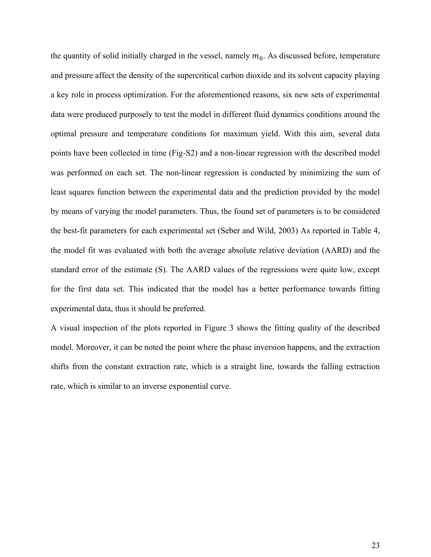the quantity of solid initially charged in the vessel, namely  $m_0$ . As discussed before, temperature and pressure affect the density of the supercritical carbon dioxide and its solvent capacity playing a key role in process optimization. For the aforementioned reasons, six new sets of experimental data were produced purposely to test the model in different fluid dynamics conditions around the optimal pressure and temperature conditions for maximum yield. With this aim, several data points have been collected in time (Fig-S2) and a non-linear regression with the described model was performed on each set. The non-linear regression is conducted by minimizing the sum of least squares function between the experimental data and the prediction provided by the model by means of varying the model parameters. Thus, the found set of parameters is to be considered the best-fit parameters for each experimental set (Seber and Wild, 2003) As reported in Table 4, the model fit was evaluated with both the average absolute relative deviation (AARD) and the standard error of the estimate (S). The AARD values of the regressions were quite low, except for the first data set. This indicated that the model has a better performance towards fitting experimental data, thus it should be preferred.

A visual inspection of the plots reported in Figure 3 shows the fitting quality of the described model. Moreover, it can be noted the point where the phase inversion happens, and the extraction shifts from the constant extraction rate, which is a straight line, towards the falling extraction rate, which is similar to an inverse exponential curve.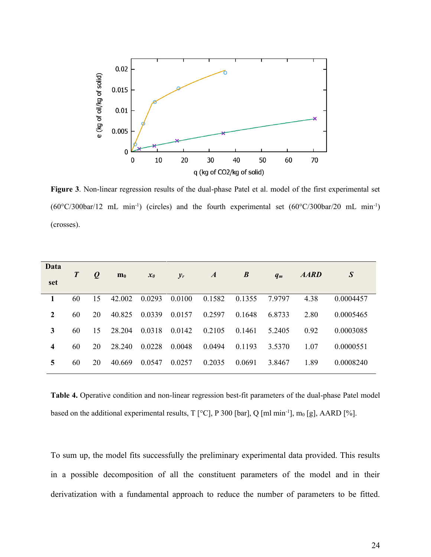

**Figure 3**. Non-linear regression results of the dual-phase Patel et al. model of the first experimental set  $(60^{\circ}C/300bar/12$  mL min<sup>-1</sup>) (circles) and the fourth experimental set  $(60^{\circ}C/300bar/20$  mL min<sup>-1</sup>) (crosses).

| Data<br>set | $\boldsymbol{T}$ | $\boldsymbol{Q}$ | $\mathbf{m}_0$ | $x_0$  | $y_r$  | $\boldsymbol{A}$ | $\boldsymbol{B}$ | $q_m$  | <b>AARD</b> | $\boldsymbol{S}$ |
|-------------|------------------|------------------|----------------|--------|--------|------------------|------------------|--------|-------------|------------------|
|             | 60               | 15               | 42.002         | 0.0293 | 0.0100 | 0.1582           | 0.1355           | 7.9797 | 4.38        | 0.0004457        |
| 2           | 60               | 20               | 40.825         | 0.0339 | 0.0157 | 0.2597           | 0.1648           | 6.8733 | 2.80        | 0.0005465        |
| 3           | 60               | 15               | 28.204         | 0.0318 | 0.0142 | 0.2105           | 0.1461           | 5.2405 | 0.92        | 0.0003085        |
| 4           | 60               | 20               | 28.240         | 0.0228 | 0.0048 | 0.0494           | 0.1193           | 3.5370 | 1.07        | 0.0000551        |
| 5           | 60               | 20               | 40.669         | 0.0547 | 0.0257 | 0.2035           | 0.0691           | 3.8467 | 1.89        | 0.0008240        |
|             |                  |                  |                |        |        |                  |                  |        |             |                  |

**Table 4.** Operative condition and non-linear regression best-fit parameters of the dual-phase Patel model based on the additional experimental results, T [ $^{\circ}$ C], P 300 [bar], Q [ml min<sup>-1</sup>], m<sub>0</sub> [g], AARD [%].

To sum up, the model fits successfully the preliminary experimental data provided. This results in a possible decomposition of all the constituent parameters of the model and in their derivatization with a fundamental approach to reduce the number of parameters to be fitted.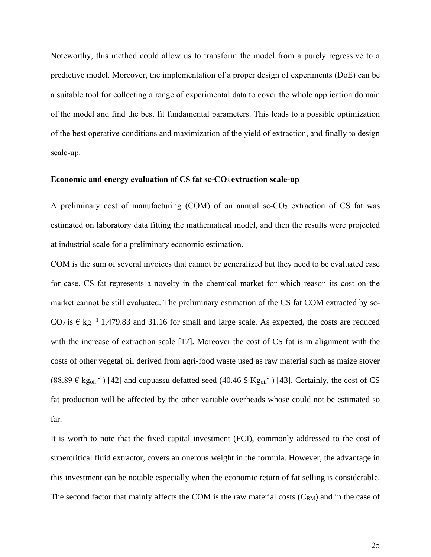Noteworthy, this method could allow us to transform the model from a purely regressive to a predictive model. Moreover, the implementation of a proper design of experiments (DoE) can be a suitable tool for collecting a range of experimental data to cover the whole application domain of the model and find the best fit fundamental parameters. This leads to a possible optimization of the best operative conditions and maximization of the yield of extraction, and finally to design scale-up.

### **Economic and energy evaluation of CS fat sc-CO2 extraction scale-up**

A preliminary cost of manufacturing  $(COM)$  of an annual sc- $CO<sub>2</sub>$  extraction of CS fat was estimated on laboratory data fitting the mathematical model, and then the results were projected at industrial scale for a preliminary economic estimation.

COM is the sum of several invoices that cannot be generalized but they need to be evaluated case for case. CS fat represents a novelty in the chemical market for which reason its cost on the market cannot be still evaluated. The preliminary estimation of the CS fat COM extracted by sc-CO<sub>2</sub> is  $\epsilon$  kg<sup>-1</sup> 1,479.83 and 31.16 for small and large scale. As expected, the costs are reduced with the increase of extraction scale [17]. Moreover the cost of CS fat is in alignment with the costs of other vegetal oil derived from agri-food waste used as raw material such as maize stover  $(88.89 \in \text{kg}_{\text{oil}}^{-1})$  [42] and cupuassu defatted seed  $(40.46 \text{ }\text{Kg}_{\text{oil}}^{-1})$  [43]. Certainly, the cost of CS fat production will be affected by the other variable overheads whose could not be estimated so far.

It is worth to note that the fixed capital investment (FCI), commonly addressed to the cost of supercritical fluid extractor, covers an onerous weight in the formula. However, the advantage in this investment can be notable especially when the economic return of fat selling is considerable. The second factor that mainly affects the COM is the raw material costs  $(C_{RM})$  and in the case of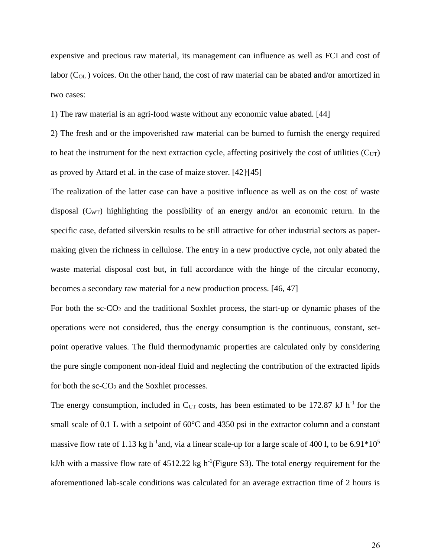expensive and precious raw material, its management can influence as well as FCI and cost of labor ( $C<sub>OL</sub>$ ) voices. On the other hand, the cost of raw material can be abated and/or amortized in two cases:

1) The raw material is an agri-food waste without any economic value abated. [44]

2) The fresh and or the impoverished raw material can be burned to furnish the energy required to heat the instrument for the next extraction cycle, affecting positively the cost of utilities  $(C_{UT})$ as proved by Attard et al. in the case of maize stover. [42]<sup>[45]</sup>

The realization of the latter case can have a positive influence as well as on the cost of waste disposal (CWT) highlighting the possibility of an energy and/or an economic return. In the specific case, defatted silverskin results to be still attractive for other industrial sectors as papermaking given the richness in cellulose. The entry in a new productive cycle, not only abated the waste material disposal cost but, in full accordance with the hinge of the circular economy, becomes a secondary raw material for a new production process. [46, 47]

For both the sc-CO<sup>2</sup> and the traditional Soxhlet process, the start-up or dynamic phases of the operations were not considered, thus the energy consumption is the continuous, constant, setpoint operative values. The fluid thermodynamic properties are calculated only by considering the pure single component non-ideal fluid and neglecting the contribution of the extracted lipids for both the  $sc$ - $CO<sub>2</sub>$  and the Soxhlet processes.

The energy consumption, included in C<sub>UT</sub> costs, has been estimated to be 172.87 kJ h<sup>-1</sup> for the small scale of 0.1 L with a setpoint of 60°C and 4350 psi in the extractor column and a constant massive flow rate of 1.13 kg h<sup>-1</sup>and, via a linear scale-up for a large scale of 400 l, to be 6.91 $*10<sup>5</sup>$ kJ/h with a massive flow rate of  $4512.22$  kg h<sup>-1</sup>(Figure S3). The total energy requirement for the aforementioned lab-scale conditions was calculated for an average extraction time of 2 hours is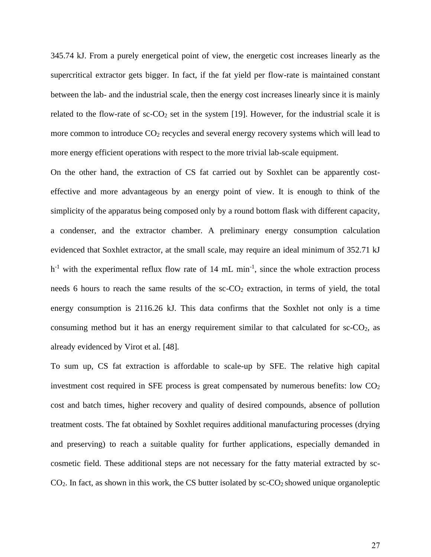345.74 kJ. From a purely energetical point of view, the energetic cost increases linearly as the supercritical extractor gets bigger. In fact, if the fat yield per flow-rate is maintained constant between the lab- and the industrial scale, then the energy cost increases linearly since it is mainly related to the flow-rate of  $sc$ - $CO_2$  set in the system [19]. However, for the industrial scale it is more common to introduce  $CO<sub>2</sub>$  recycles and several energy recovery systems which will lead to more energy efficient operations with respect to the more trivial lab-scale equipment.

On the other hand, the extraction of CS fat carried out by Soxhlet can be apparently costeffective and more advantageous by an energy point of view. It is enough to think of the simplicity of the apparatus being composed only by a round bottom flask with different capacity, a condenser, and the extractor chamber. A preliminary energy consumption calculation evidenced that Soxhlet extractor, at the small scale, may require an ideal minimum of 352.71 kJ  $h^{-1}$  with the experimental reflux flow rate of 14 mL min<sup>-1</sup>, since the whole extraction process needs 6 hours to reach the same results of the  $\rm sc\text{-}CO<sub>2</sub>$  extraction, in terms of yield, the total energy consumption is 2116.26 kJ. This data confirms that the Soxhlet not only is a time consuming method but it has an energy requirement similar to that calculated for  $sc-CO<sub>2</sub>$ , as already evidenced by Virot et al. [48].

To sum up, CS fat extraction is affordable to scale-up by SFE. The relative high capital investment cost required in SFE process is great compensated by numerous benefits: low  $CO<sub>2</sub>$ cost and batch times, higher recovery and quality of desired compounds, absence of pollution treatment costs. The fat obtained by Soxhlet requires additional manufacturing processes (drying and preserving) to reach a suitable quality for further applications, especially demanded in cosmetic field. These additional steps are not necessary for the fatty material extracted by sc- $CO<sub>2</sub>$ . In fact, as shown in this work, the CS butter isolated by sc- $CO<sub>2</sub>$  showed unique organoleptic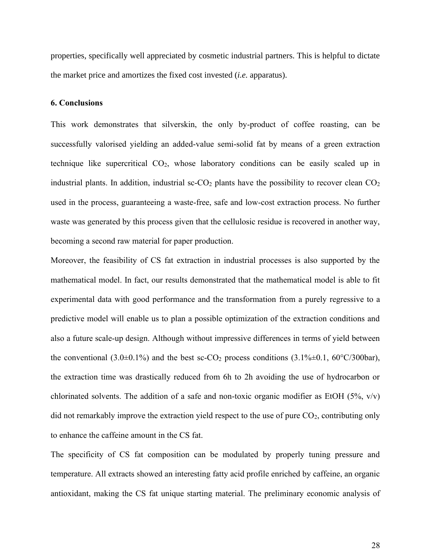properties, specifically well appreciated by cosmetic industrial partners. This is helpful to dictate the market price and amortizes the fixed cost invested (*i.e.* apparatus).

### **6. Conclusions**

This work demonstrates that silverskin, the only by-product of coffee roasting, can be successfully valorised yielding an added-value semi-solid fat by means of a green extraction technique like supercritical  $CO<sub>2</sub>$ , whose laboratory conditions can be easily scaled up in industrial plants. In addition, industrial sc- $CO<sub>2</sub>$  plants have the possibility to recover clean  $CO<sub>2</sub>$ used in the process, guaranteeing a waste-free, safe and low-cost extraction process. No further waste was generated by this process given that the cellulosic residue is recovered in another way, becoming a second raw material for paper production.

Moreover, the feasibility of CS fat extraction in industrial processes is also supported by the mathematical model. In fact, our results demonstrated that the mathematical model is able to fit experimental data with good performance and the transformation from a purely regressive to a predictive model will enable us to plan a possible optimization of the extraction conditions and also a future scale-up design. Although without impressive differences in terms of yield between the conventional (3.0 $\pm$ 0.1%) and the best sc-CO<sub>2</sub> process conditions (3.1% $\pm$ 0.1, 60°C/300bar), the extraction time was drastically reduced from 6h to 2h avoiding the use of hydrocarbon or chlorinated solvents. The addition of a safe and non-toxic organic modifier as EtOH (5%,  $v/v$ ) did not remarkably improve the extraction yield respect to the use of pure CO<sub>2</sub>, contributing only to enhance the caffeine amount in the CS fat.

The specificity of CS fat composition can be modulated by properly tuning pressure and temperature. All extracts showed an interesting fatty acid profile enriched by caffeine, an organic antioxidant, making the CS fat unique starting material. The preliminary economic analysis of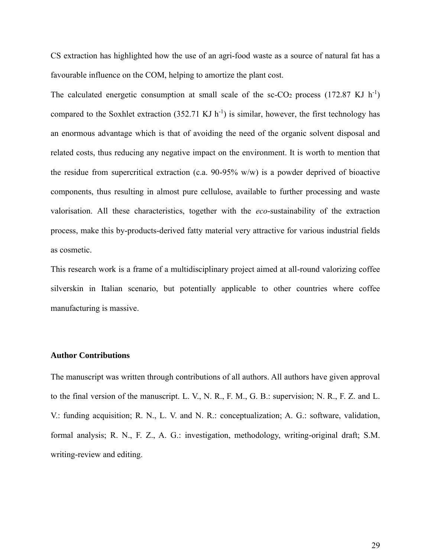CS extraction has highlighted how the use of an agri-food waste as a source of natural fat has a favourable influence on the COM, helping to amortize the plant cost.

The calculated energetic consumption at small scale of the sc-CO<sub>2</sub> process (172.87 KJ h<sup>-1</sup>) compared to the Soxhlet extraction  $(352.71 \text{ KJ h}^{-1})$  is similar, however, the first technology has an enormous advantage which is that of avoiding the need of the organic solvent disposal and related costs, thus reducing any negative impact on the environment. It is worth to mention that the residue from supercritical extraction (c.a.  $90-95\%$  w/w) is a powder deprived of bioactive components, thus resulting in almost pure cellulose, available to further processing and waste valorisation. All these characteristics, together with the *eco*-sustainability of the extraction process, make this by-products-derived fatty material very attractive for various industrial fields as cosmetic.

This research work is a frame of a multidisciplinary project aimed at all-round valorizing coffee silverskin in Italian scenario, but potentially applicable to other countries where coffee manufacturing is massive.

### **Author Contributions**

The manuscript was written through contributions of all authors. All authors have given approval to the final version of the manuscript. L. V., N. R., F. M., G. B.: supervision; N. R., F. Z. and L. V.: funding acquisition; R. N., L. V. and N. R.: conceptualization; A. G.: software, validation, formal analysis; R. N., F. Z., A. G.: investigation, methodology, writing-original draft; S.M. writing-review and editing.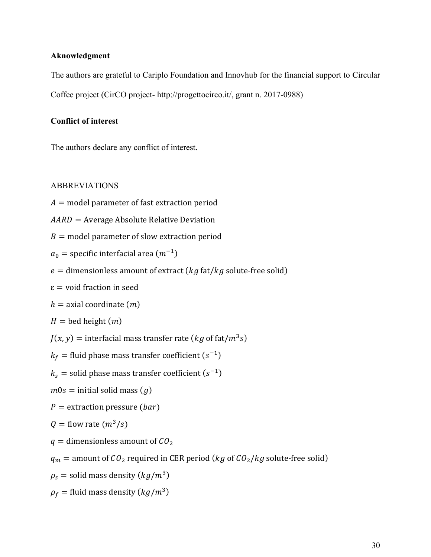# **Aknowledgment**

The authors are grateful to Cariplo Foundation and Innovhub for the financial support to Circular Coffee project (CirCO project- http://progettocirco.it/, grant n. 2017-0988)

# **Conflict of interest**

The authors declare any conflict of interest.

# ABBREVIATIONS

- $A =$  model parameter of fast extraction period
- $AARD = Average Absolute Relative Deviation$
- $B =$  model parameter of slow extraction period
- $a_0$  = specific interfacial area  $(m^{-1})$
- $e =$  dimensionless amount of extract ( $kg$  fat/ $kg$  solute-free solid)
- $\epsilon$  = void fraction in seed

 $h =$  axial coordinate  $(m)$ 

 $H =$  bed height  $(m)$ 

 $J(x, y) =$  interfacial mass transfer rate (kg of fat/ $m^3s$ )

 $k_f =$  fluid phase mass transfer coefficient  $(s^{-1})$ 

 $k_s$  = solid phase mass transfer coefficient  $(s^{-1})$ 

 $m0s =$  initial solid mass  $(g)$ 

 $P =$  extraction pressure (*bar*)

$$
Q = \text{flow rate} \left( \frac{m^3}{s} \right)
$$

 $q =$  dimensionless amount of  $CO<sub>2</sub>$ 

 $q_m =$  amount of  $CO_2$  required in CER period (  $kg$  of  $CO_2/kg$  solute-free solid)

 $\rho_{s} =$  solid mass density  $(kg/m^{3})$ 

 $\rho_f$  = fluid mass density ( $kg/m^3$ )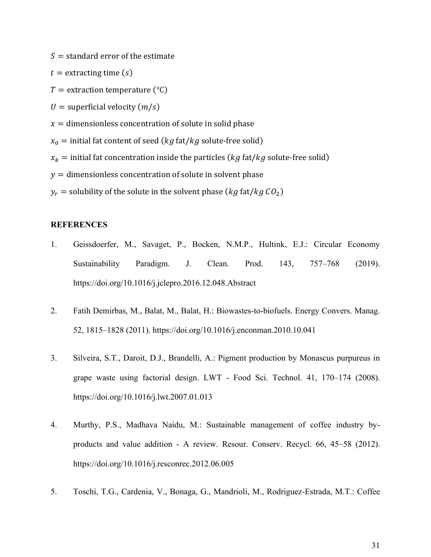$S =$  standard error of the estimate

 $t =$  extracting time  $(s)$ 

 $T =$  extraction temperature (°C)

 $U =$  superficial velocity  $(m/s)$ 

 $x =$  dimensionless concentration of solute in solid phase

 $x_0$  = initial fat content of seed ( $kg$  fat/ $kg$  solute-free solid)

 $x_k =$  initial fat concentration inside the particles ( $kg$  fat/ $kg$  solute-free solid)

 $y =$  dimensionless concentration of solute in solvent phase

 $y_r =$  solubility of the solute in the solvent phase (*kg* fat/*kg* CO<sub>2</sub>)

# **REFERENCES**

- 1. Geissdoerfer, M., Savaget, P., Bocken, N.M.P., Hultink, E.J.: Circular Economy Sustainability Paradigm. J. Clean. Prod. 143, 757–768 (2019). https://doi.org/10.1016/j.jclepro.2016.12.048.Abstract
- 2. Fatih Demirbas, M., Balat, M., Balat, H.: Biowastes-to-biofuels. Energy Convers. Manag. 52, 1815–1828 (2011). https://doi.org/10.1016/j.enconman.2010.10.041
- 3. Silveira, S.T., Daroit, D.J., Brandelli, A.: Pigment production by Monascus purpureus in grape waste using factorial design. LWT - Food Sci. Technol. 41, 170–174 (2008). https://doi.org/10.1016/j.lwt.2007.01.013
- 4. Murthy, P.S., Madhava Naidu, M.: Sustainable management of coffee industry byproducts and value addition - A review. Resour. Conserv. Recycl. 66, 45–58 (2012). https://doi.org/10.1016/j.resconrec.2012.06.005
- 5. Toschi, T.G., Cardenia, V., Bonaga, G., Mandrioli, M., Rodriguez-Estrada, M.T.: Coffee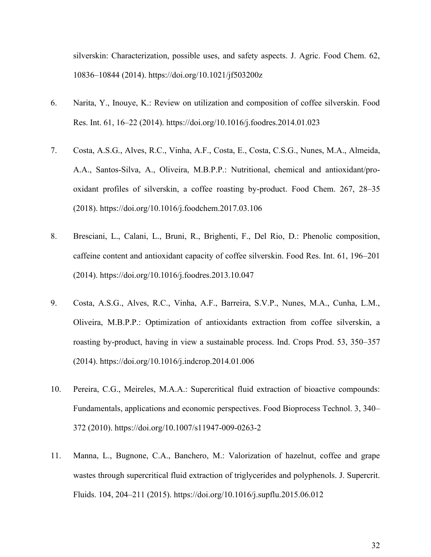silverskin: Characterization, possible uses, and safety aspects. J. Agric. Food Chem. 62, 10836–10844 (2014). https://doi.org/10.1021/jf503200z

- 6. Narita, Y., Inouye, K.: Review on utilization and composition of coffee silverskin. Food Res. Int. 61, 16–22 (2014). https://doi.org/10.1016/j.foodres.2014.01.023
- 7. Costa, A.S.G., Alves, R.C., Vinha, A.F., Costa, E., Costa, C.S.G., Nunes, M.A., Almeida, A.A., Santos-Silva, A., Oliveira, M.B.P.P.: Nutritional, chemical and antioxidant/prooxidant profiles of silverskin, a coffee roasting by-product. Food Chem. 267, 28–35 (2018). https://doi.org/10.1016/j.foodchem.2017.03.106
- 8. Bresciani, L., Calani, L., Bruni, R., Brighenti, F., Del Rio, D.: Phenolic composition, caffeine content and antioxidant capacity of coffee silverskin. Food Res. Int. 61, 196–201 (2014). https://doi.org/10.1016/j.foodres.2013.10.047
- 9. Costa, A.S.G., Alves, R.C., Vinha, A.F., Barreira, S.V.P., Nunes, M.A., Cunha, L.M., Oliveira, M.B.P.P.: Optimization of antioxidants extraction from coffee silverskin, a roasting by-product, having in view a sustainable process. Ind. Crops Prod. 53, 350–357 (2014). https://doi.org/10.1016/j.indcrop.2014.01.006
- 10. Pereira, C.G., Meireles, M.A.A.: Supercritical fluid extraction of bioactive compounds: Fundamentals, applications and economic perspectives. Food Bioprocess Technol. 3, 340– 372 (2010). https://doi.org/10.1007/s11947-009-0263-2
- 11. Manna, L., Bugnone, C.A., Banchero, M.: Valorization of hazelnut, coffee and grape wastes through supercritical fluid extraction of triglycerides and polyphenols. J. Supercrit. Fluids. 104, 204–211 (2015). https://doi.org/10.1016/j.supflu.2015.06.012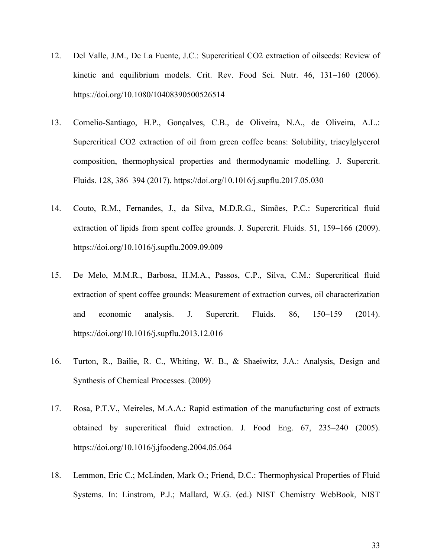- 12. Del Valle, J.M., De La Fuente, J.C.: Supercritical CO2 extraction of oilseeds: Review of kinetic and equilibrium models. Crit. Rev. Food Sci. Nutr. 46, 131–160 (2006). https://doi.org/10.1080/10408390500526514
- 13. Cornelio-Santiago, H.P., Gonçalves, C.B., de Oliveira, N.A., de Oliveira, A.L.: Supercritical CO2 extraction of oil from green coffee beans: Solubility, triacylglycerol composition, thermophysical properties and thermodynamic modelling. J. Supercrit. Fluids. 128, 386–394 (2017). https://doi.org/10.1016/j.supflu.2017.05.030
- 14. Couto, R.M., Fernandes, J., da Silva, M.D.R.G., Simões, P.C.: Supercritical fluid extraction of lipids from spent coffee grounds. J. Supercrit. Fluids. 51, 159–166 (2009). https://doi.org/10.1016/j.supflu.2009.09.009
- 15. De Melo, M.M.R., Barbosa, H.M.A., Passos, C.P., Silva, C.M.: Supercritical fluid extraction of spent coffee grounds: Measurement of extraction curves, oil characterization and economic analysis. J. Supercrit. Fluids. 86, 150–159 (2014). https://doi.org/10.1016/j.supflu.2013.12.016
- 16. Turton, R., Bailie, R. C., Whiting, W. B., & Shaeiwitz, J.A.: Analysis, Design and Synthesis of Chemical Processes. (2009)
- 17. Rosa, P.T.V., Meireles, M.A.A.: Rapid estimation of the manufacturing cost of extracts obtained by supercritical fluid extraction. J. Food Eng. 67, 235–240 (2005). https://doi.org/10.1016/j.jfoodeng.2004.05.064
- 18. Lemmon, Eric C.; McLinden, Mark O.; Friend, D.C.: Thermophysical Properties of Fluid Systems. In: Linstrom, P.J.; Mallard, W.G. (ed.) NIST Chemistry WebBook, NIST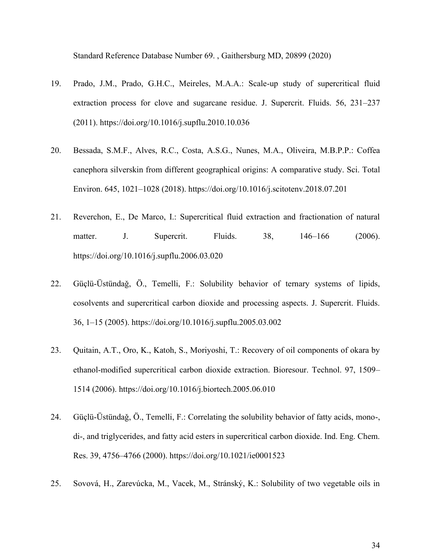Standard Reference Database Number 69. , Gaithersburg MD, 20899 (2020)

- 19. Prado, J.M., Prado, G.H.C., Meireles, M.A.A.: Scale-up study of supercritical fluid extraction process for clove and sugarcane residue. J. Supercrit. Fluids. 56, 231–237 (2011). https://doi.org/10.1016/j.supflu.2010.10.036
- 20. Bessada, S.M.F., Alves, R.C., Costa, A.S.G., Nunes, M.A., Oliveira, M.B.P.P.: Coffea canephora silverskin from different geographical origins: A comparative study. Sci. Total Environ. 645, 1021–1028 (2018). https://doi.org/10.1016/j.scitotenv.2018.07.201
- 21. Reverchon, E., De Marco, I.: Supercritical fluid extraction and fractionation of natural matter. J. Supercrit. Fluids. 38, 146–166 (2006). https://doi.org/10.1016/j.supflu.2006.03.020
- 22. Güçlü-Üstündaǧ, Ö., Temelli, F.: Solubility behavior of ternary systems of lipids, cosolvents and supercritical carbon dioxide and processing aspects. J. Supercrit. Fluids. 36, 1–15 (2005). https://doi.org/10.1016/j.supflu.2005.03.002
- 23. Quitain, A.T., Oro, K., Katoh, S., Moriyoshi, T.: Recovery of oil components of okara by ethanol-modified supercritical carbon dioxide extraction. Bioresour. Technol. 97, 1509– 1514 (2006). https://doi.org/10.1016/j.biortech.2005.06.010
- 24. Güçlü-Üstündaǧ, Ö., Temelli, F.: Correlating the solubility behavior of fatty acids, mono-, di-, and triglycerides, and fatty acid esters in supercritical carbon dioxide. Ind. Eng. Chem. Res. 39, 4756–4766 (2000). https://doi.org/10.1021/ie0001523
- 25. Sovová, H., Zarevúcka, M., Vacek, M., Stránský, K.: Solubility of two vegetable oils in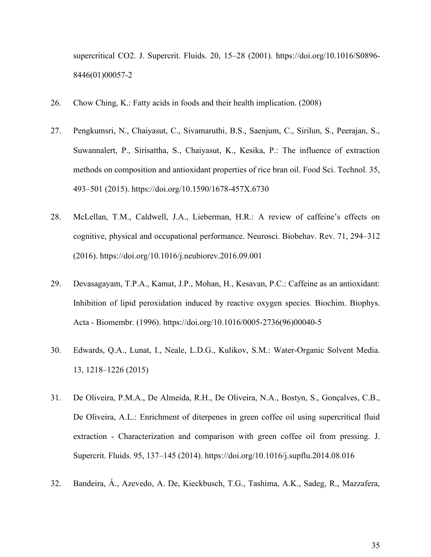supercritical CO2. J. Supercrit. Fluids. 20, 15–28 (2001). https://doi.org/10.1016/S0896- 8446(01)00057-2

- 26. Chow Ching, K.: Fatty acids in foods and their health implication. (2008)
- 27. Pengkumsri, N., Chaiyasut, C., Sivamaruthi, B.S., Saenjum, C., Sirilun, S., Peerajan, S., Suwannalert, P., Sirisattha, S., Chaiyasut, K., Kesika, P.: The influence of extraction methods on composition and antioxidant properties of rice bran oil. Food Sci. Technol. 35, 493–501 (2015). https://doi.org/10.1590/1678-457X.6730
- 28. McLellan, T.M., Caldwell, J.A., Lieberman, H.R.: A review of caffeine's effects on cognitive, physical and occupational performance. Neurosci. Biobehav. Rev. 71, 294–312 (2016). https://doi.org/10.1016/j.neubiorev.2016.09.001
- 29. Devasagayam, T.P.A., Kamat, J.P., Mohan, H., Kesavan, P.C.: Caffeine as an antioxidant: Inhibition of lipid peroxidation induced by reactive oxygen species. Biochim. Biophys. Acta - Biomembr. (1996). https://doi.org/10.1016/0005-2736(96)00040-5
- 30. Edwards, Q.A., Lunat, I., Neale, L.D.G., Kulikov, S.M.: Water-Organic Solvent Media. 13, 1218–1226 (2015)
- 31. De Oliveira, P.M.A., De Almeida, R.H., De Oliveira, N.A., Bostyn, S., Gonçalves, C.B., De Oliveira, A.L.: Enrichment of diterpenes in green coffee oil using supercritical fluid extraction - Characterization and comparison with green coffee oil from pressing. J. Supercrit. Fluids. 95, 137–145 (2014). https://doi.org/10.1016/j.supflu.2014.08.016
- 32. Bandeira, Á., Azevedo, A. De, Kieckbusch, T.G., Tashima, A.K., Sadeg, R., Mazzafera,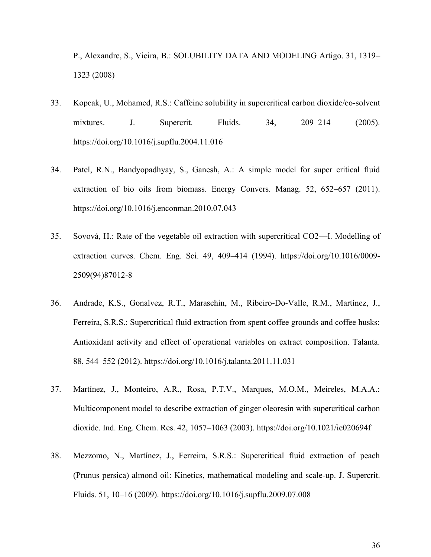P., Alexandre, S., Vieira, B.: SOLUBILITY DATA AND MODELING Artigo. 31, 1319– 1323 (2008)

- 33. Kopcak, U., Mohamed, R.S.: Caffeine solubility in supercritical carbon dioxide/co-solvent mixtures. J. Supercrit. Fluids. 34, 209–214 (2005). https://doi.org/10.1016/j.supflu.2004.11.016
- 34. Patel, R.N., Bandyopadhyay, S., Ganesh, A.: A simple model for super critical fluid extraction of bio oils from biomass. Energy Convers. Manag. 52, 652–657 (2011). https://doi.org/10.1016/j.enconman.2010.07.043
- 35. Sovová, H.: Rate of the vegetable oil extraction with supercritical CO2—I. Modelling of extraction curves. Chem. Eng. Sci. 49, 409–414 (1994). https://doi.org/10.1016/0009- 2509(94)87012-8
- 36. Andrade, K.S., Gonalvez, R.T., Maraschin, M., Ribeiro-Do-Valle, R.M., Martínez, J., Ferreira, S.R.S.: Supercritical fluid extraction from spent coffee grounds and coffee husks: Antioxidant activity and effect of operational variables on extract composition. Talanta. 88, 544–552 (2012). https://doi.org/10.1016/j.talanta.2011.11.031
- 37. Martínez, J., Monteiro, A.R., Rosa, P.T.V., Marques, M.O.M., Meireles, M.A.A.: Multicomponent model to describe extraction of ginger oleoresin with supercritical carbon dioxide. Ind. Eng. Chem. Res. 42, 1057–1063 (2003). https://doi.org/10.1021/ie020694f
- 38. Mezzomo, N., Martínez, J., Ferreira, S.R.S.: Supercritical fluid extraction of peach (Prunus persica) almond oil: Kinetics, mathematical modeling and scale-up. J. Supercrit. Fluids. 51, 10–16 (2009). https://doi.org/10.1016/j.supflu.2009.07.008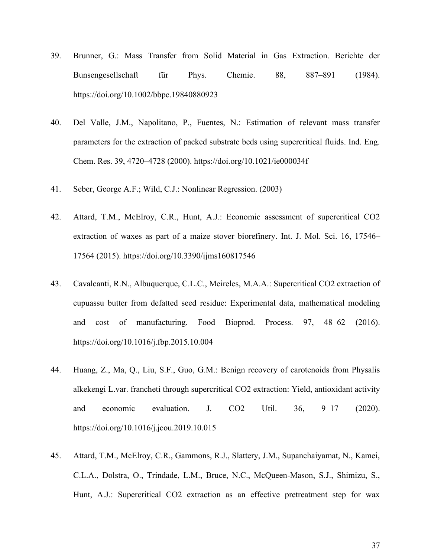- 39. Brunner, G.: Mass Transfer from Solid Material in Gas Extraction. Berichte der Bunsengesellschaft für Phys. Chemie. 88, 887–891 (1984). https://doi.org/10.1002/bbpc.19840880923
- 40. Del Valle, J.M., Napolitano, P., Fuentes, N.: Estimation of relevant mass transfer parameters for the extraction of packed substrate beds using supercritical fluids. Ind. Eng. Chem. Res. 39, 4720–4728 (2000). https://doi.org/10.1021/ie000034f
- 41. Seber, George A.F.; Wild, C.J.: Nonlinear Regression. (2003)
- 42. Attard, T.M., McElroy, C.R., Hunt, A.J.: Economic assessment of supercritical CO2 extraction of waxes as part of a maize stover biorefinery. Int. J. Mol. Sci. 16, 17546– 17564 (2015). https://doi.org/10.3390/ijms160817546
- 43. Cavalcanti, R.N., Albuquerque, C.L.C., Meireles, M.A.A.: Supercritical CO2 extraction of cupuassu butter from defatted seed residue: Experimental data, mathematical modeling and cost of manufacturing. Food Bioprod. Process. 97, 48–62 (2016). https://doi.org/10.1016/j.fbp.2015.10.004
- 44. Huang, Z., Ma, Q., Liu, S.F., Guo, G.M.: Benign recovery of carotenoids from Physalis alkekengi L.var. francheti through supercritical CO2 extraction: Yield, antioxidant activity and economic evaluation. J. CO2 Util. 36, 9–17 (2020). https://doi.org/10.1016/j.jcou.2019.10.015
- 45. Attard, T.M., McElroy, C.R., Gammons, R.J., Slattery, J.M., Supanchaiyamat, N., Kamei, C.L.A., Dolstra, O., Trindade, L.M., Bruce, N.C., McQueen-Mason, S.J., Shimizu, S., Hunt, A.J.: Supercritical CO2 extraction as an effective pretreatment step for wax